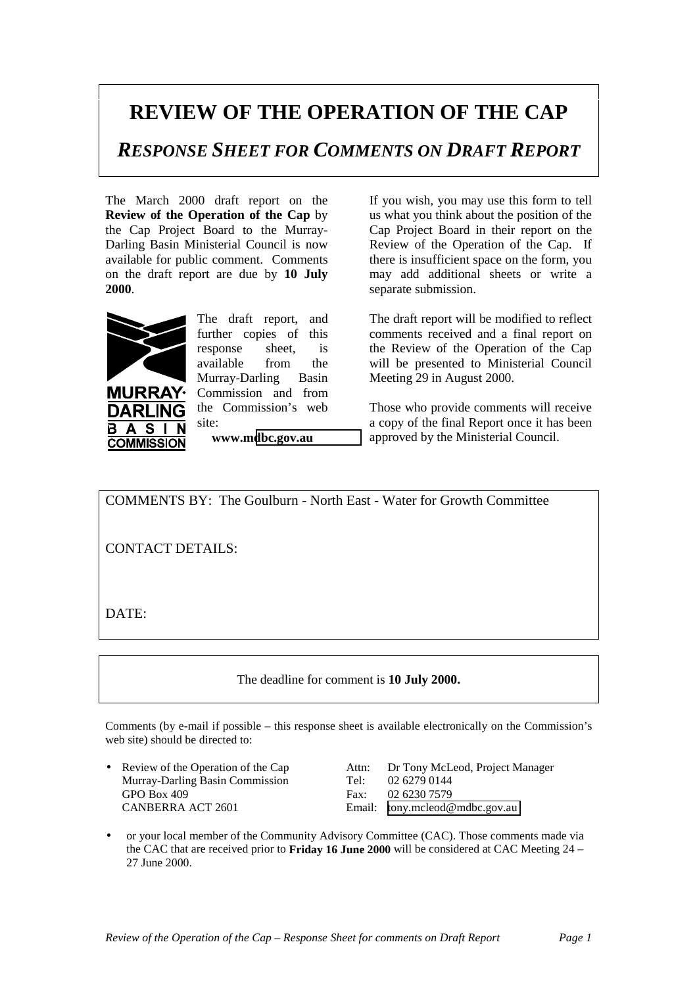## **REVIEW OF THE OPERATION OF THE CAP**

*RESPONSE SHEET FOR COMMENTS ON DRAFT REPORT*

The March 2000 draft report on the **Review of the Operation of the Cap** by the Cap Project Board to the Murray-Darling Basin Ministerial Council is now available for public comment. Comments on the draft report are due by **10 July 2000**.



DARLIN  $\mathbf{A}$ **S** 

**COMMISSION** 

B

**URRAY·** 

The draft report, and further copies of this response sheet, is available from the Murray-Darling Basin Commission and from the Commission's web site:

**www.m[dbc.gov.au](http://www.mdbc.gov.au/)**

If you wish, you may use this form to tell us what you think about the position of the Cap Project Board in their report on the Review of the Operation of the Cap. If there is insufficient space on the form, you may add additional sheets or write a separate submission.

The draft report will be modified to reflect comments received and a final report on the Review of the Operation of the Cap will be presented to Ministerial Council Meeting 29 in August 2000.

Those who provide comments will receive a copy of the final Report once it has been approved by the Ministerial Council.

COMMENTS BY: The Goulburn - North East - Water for Growth Committee

CONTACT DETAILS:

DATE:

The deadline for comment is **10 July 2000.**

Comments (by e-mail if possible – this response sheet is available electronically on the Commission's web site) should be directed to:

Murray-Darling Basin Commission Tel: 02 6279 0144 GPO Box 409 Fax: 02 6230 7579 CANBERRA ACT 2601 Email: [tony.mcleod@mdbc.gov.au](mailto:tony.mcleod@mdbc.gov.au)

• Review of the Operation of the Cap Attn: Dr Tony McLeod, Project Manager

• or your local member of the Community Advisory Committee (CAC). Those comments made via the CAC that are received prior to **Friday 16 June 2000** will be considered at CAC Meeting 24 – 27 June 2000.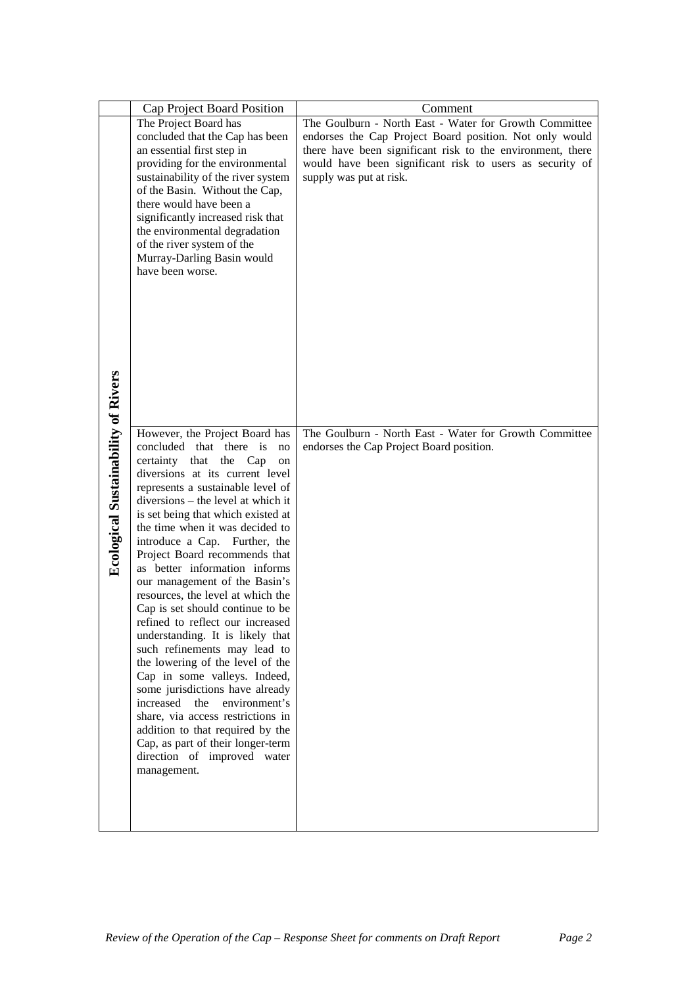|                                            | Cap Project Board Position                                           | Comment                                                                             |
|--------------------------------------------|----------------------------------------------------------------------|-------------------------------------------------------------------------------------|
|                                            | The Project Board has                                                | The Goulburn - North East - Water for Growth Committee                              |
|                                            | concluded that the Cap has been                                      | endorses the Cap Project Board position. Not only would                             |
|                                            | an essential first step in                                           | there have been significant risk to the environment, there                          |
|                                            | providing for the environmental                                      | would have been significant risk to users as security of<br>supply was put at risk. |
|                                            | sustainability of the river system<br>of the Basin. Without the Cap, |                                                                                     |
|                                            | there would have been a                                              |                                                                                     |
|                                            | significantly increased risk that                                    |                                                                                     |
|                                            | the environmental degradation                                        |                                                                                     |
|                                            | of the river system of the                                           |                                                                                     |
|                                            | Murray-Darling Basin would<br>have been worse.                       |                                                                                     |
|                                            |                                                                      |                                                                                     |
|                                            |                                                                      |                                                                                     |
|                                            |                                                                      |                                                                                     |
|                                            |                                                                      |                                                                                     |
|                                            |                                                                      |                                                                                     |
|                                            |                                                                      |                                                                                     |
|                                            |                                                                      |                                                                                     |
|                                            |                                                                      |                                                                                     |
|                                            |                                                                      |                                                                                     |
| <b>Ecological Sustainability of Rivers</b> |                                                                      |                                                                                     |
|                                            | However, the Project Board has                                       | The Goulburn - North East - Water for Growth Committee                              |
|                                            | concluded that there is<br>no                                        | endorses the Cap Project Board position.                                            |
|                                            | certainty that the Cap<br>on<br>diversions at its current level      |                                                                                     |
|                                            | represents a sustainable level of                                    |                                                                                     |
|                                            | diversions – the level at which it                                   |                                                                                     |
|                                            | is set being that which existed at                                   |                                                                                     |
|                                            | the time when it was decided to                                      |                                                                                     |
|                                            | introduce a Cap. Further, the<br>Project Board recommends that       |                                                                                     |
|                                            | as better information informs                                        |                                                                                     |
|                                            | our management of the Basin's                                        |                                                                                     |
|                                            | resources, the level at which the                                    |                                                                                     |
|                                            | Cap is set should continue to be                                     |                                                                                     |
|                                            | refined to reflect our increased                                     |                                                                                     |
|                                            | understanding. It is likely that                                     |                                                                                     |
|                                            | such refinements may lead to<br>the lowering of the level of the     |                                                                                     |
|                                            | Cap in some valleys. Indeed,                                         |                                                                                     |
|                                            | some jurisdictions have already                                      |                                                                                     |
|                                            | increased<br>environment's<br>the                                    |                                                                                     |
|                                            | share, via access restrictions in                                    |                                                                                     |
|                                            | addition to that required by the                                     |                                                                                     |
|                                            | Cap, as part of their longer-term<br>direction of improved water     |                                                                                     |
|                                            | management.                                                          |                                                                                     |
|                                            |                                                                      |                                                                                     |
|                                            |                                                                      |                                                                                     |
|                                            |                                                                      |                                                                                     |
|                                            |                                                                      |                                                                                     |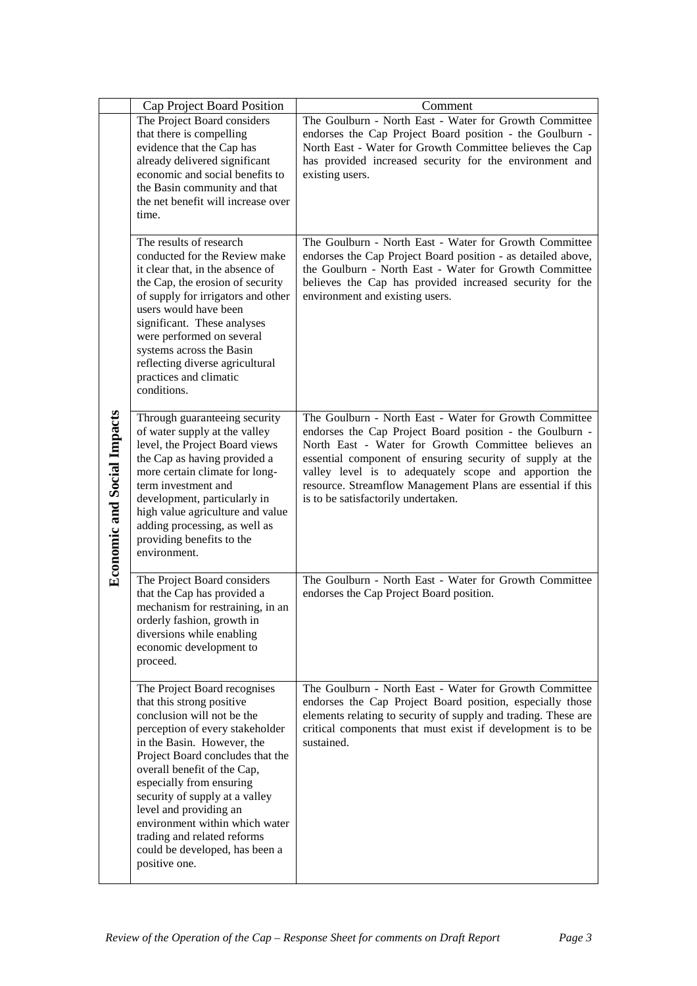|                                    | Cap Project Board Position                                                                                                                                                                                                                                                                                                                                                                                                              | Comment                                                                                                                                                                                                                                                                                                                                                                                               |
|------------------------------------|-----------------------------------------------------------------------------------------------------------------------------------------------------------------------------------------------------------------------------------------------------------------------------------------------------------------------------------------------------------------------------------------------------------------------------------------|-------------------------------------------------------------------------------------------------------------------------------------------------------------------------------------------------------------------------------------------------------------------------------------------------------------------------------------------------------------------------------------------------------|
| <b>Economic and Social Impacts</b> | The Project Board considers<br>that there is compelling<br>evidence that the Cap has<br>already delivered significant<br>economic and social benefits to<br>the Basin community and that<br>the net benefit will increase over<br>time.                                                                                                                                                                                                 | The Goulburn - North East - Water for Growth Committee<br>endorses the Cap Project Board position - the Goulburn -<br>North East - Water for Growth Committee believes the Cap<br>has provided increased security for the environment and<br>existing users.                                                                                                                                          |
|                                    | The results of research<br>conducted for the Review make<br>it clear that, in the absence of<br>the Cap, the erosion of security<br>of supply for irrigators and other<br>users would have been<br>significant. These analyses<br>were performed on several<br>systems across the Basin<br>reflecting diverse agricultural<br>practices and climatic<br>conditions.                                                                     | The Goulburn - North East - Water for Growth Committee<br>endorses the Cap Project Board position - as detailed above,<br>the Goulburn - North East - Water for Growth Committee<br>believes the Cap has provided increased security for the<br>environment and existing users.                                                                                                                       |
|                                    | Through guaranteeing security<br>of water supply at the valley<br>level, the Project Board views<br>the Cap as having provided a<br>more certain climate for long-<br>term investment and<br>development, particularly in<br>high value agriculture and value<br>adding processing, as well as<br>providing benefits to the<br>environment.                                                                                             | The Goulburn - North East - Water for Growth Committee<br>endorses the Cap Project Board position - the Goulburn -<br>North East - Water for Growth Committee believes an<br>essential component of ensuring security of supply at the<br>valley level is to adequately scope and apportion the<br>resource. Streamflow Management Plans are essential if this<br>is to be satisfactorily undertaken. |
|                                    | The Project Board considers<br>that the Cap has provided a<br>mechanism for restraining, in an<br>orderly fashion, growth in<br>diversions while enabling<br>economic development to<br>proceed.                                                                                                                                                                                                                                        | The Goulburn - North East - Water for Growth Committee<br>endorses the Cap Project Board position.                                                                                                                                                                                                                                                                                                    |
|                                    | The Project Board recognises<br>that this strong positive<br>conclusion will not be the<br>perception of every stakeholder<br>in the Basin. However, the<br>Project Board concludes that the<br>overall benefit of the Cap,<br>especially from ensuring<br>security of supply at a valley<br>level and providing an<br>environment within which water<br>trading and related reforms<br>could be developed, has been a<br>positive one. | The Goulburn - North East - Water for Growth Committee<br>endorses the Cap Project Board position, especially those<br>elements relating to security of supply and trading. These are<br>critical components that must exist if development is to be<br>sustained.                                                                                                                                    |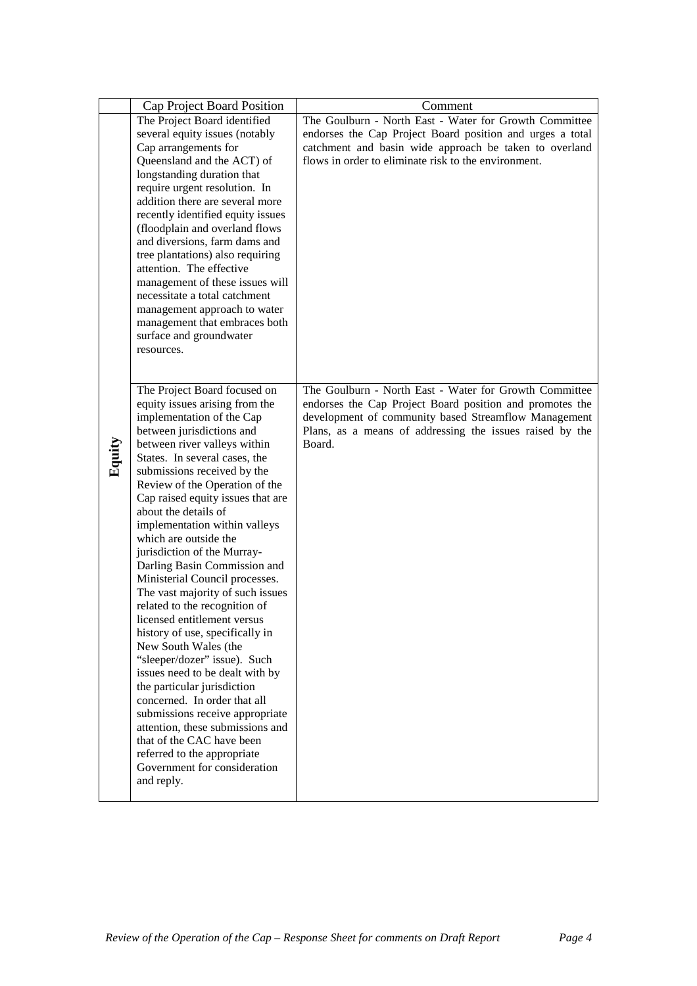|        | Cap Project Board Position                                  | Comment                                                   |
|--------|-------------------------------------------------------------|-----------------------------------------------------------|
|        | The Project Board identified                                | The Goulburn - North East - Water for Growth Committee    |
|        | several equity issues (notably                              | endorses the Cap Project Board position and urges a total |
|        | Cap arrangements for                                        | catchment and basin wide approach be taken to overland    |
|        | Queensland and the ACT) of                                  | flows in order to eliminate risk to the environment.      |
|        | longstanding duration that                                  |                                                           |
|        | require urgent resolution. In                               |                                                           |
|        | addition there are several more                             |                                                           |
|        | recently identified equity issues                           |                                                           |
|        | (floodplain and overland flows                              |                                                           |
|        | and diversions, farm dams and                               |                                                           |
|        | tree plantations) also requiring                            |                                                           |
|        | attention. The effective                                    |                                                           |
|        | management of these issues will                             |                                                           |
|        | necessitate a total catchment                               |                                                           |
|        | management approach to water                                |                                                           |
|        | management that embraces both                               |                                                           |
|        | surface and groundwater                                     |                                                           |
|        | resources.                                                  |                                                           |
|        |                                                             |                                                           |
|        | The Project Board focused on                                | The Goulburn - North East - Water for Growth Committee    |
|        | equity issues arising from the                              | endorses the Cap Project Board position and promotes the  |
|        | implementation of the Cap                                   | development of community based Streamflow Management      |
|        | between jurisdictions and                                   | Plans, as a means of addressing the issues raised by the  |
|        | between river valleys within                                | Board.                                                    |
| Equity | States. In several cases, the                               |                                                           |
|        | submissions received by the                                 |                                                           |
|        | Review of the Operation of the                              |                                                           |
|        | Cap raised equity issues that are                           |                                                           |
|        | about the details of                                        |                                                           |
|        | implementation within valleys                               |                                                           |
|        | which are outside the                                       |                                                           |
|        | jurisdiction of the Murray-                                 |                                                           |
|        | Darling Basin Commission and                                |                                                           |
|        | Ministerial Council processes.                              |                                                           |
|        | The vast majority of such issues                            |                                                           |
|        | related to the recognition of                               |                                                           |
|        | licensed entitlement versus                                 |                                                           |
|        | history of use, specifically in                             |                                                           |
|        | New South Wales (the                                        |                                                           |
|        | "sleeper/dozer" issue). Such                                |                                                           |
|        | issues need to be dealt with by                             |                                                           |
|        | the particular jurisdiction<br>concerned. In order that all |                                                           |
|        | submissions receive appropriate                             |                                                           |
|        | attention, these submissions and                            |                                                           |
|        | that of the CAC have been                                   |                                                           |
|        | referred to the appropriate                                 |                                                           |
|        | Government for consideration                                |                                                           |
|        |                                                             |                                                           |
|        | and reply.                                                  |                                                           |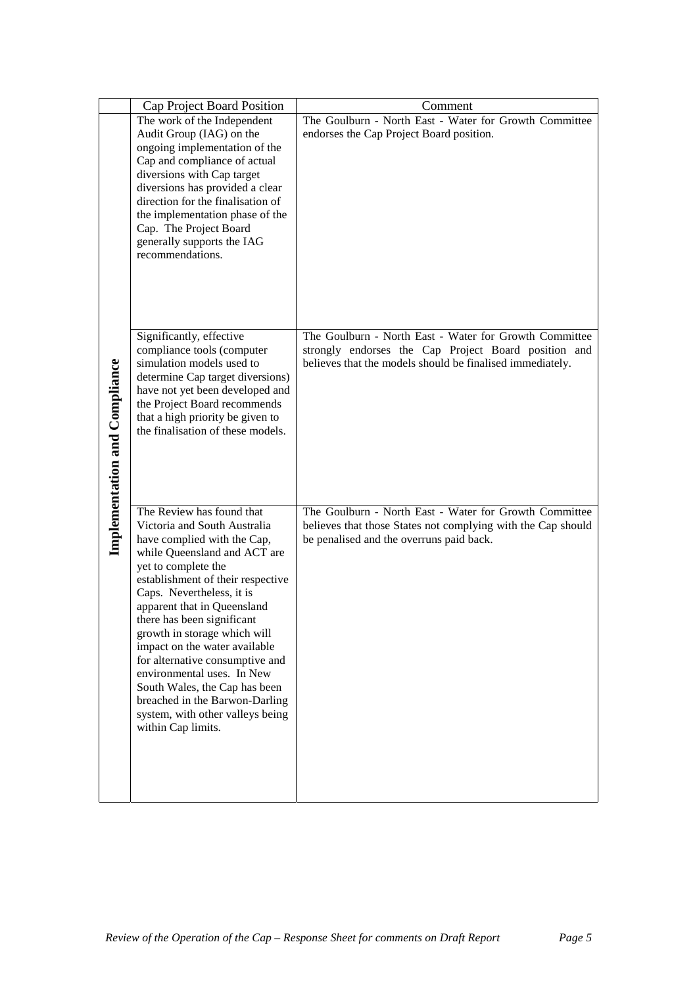|                                      | Cap Project Board Position                                                                                                                                                                                                                                                                                                                                                                                                                                                                                                                    | Comment                                                                                                                                                                     |
|--------------------------------------|-----------------------------------------------------------------------------------------------------------------------------------------------------------------------------------------------------------------------------------------------------------------------------------------------------------------------------------------------------------------------------------------------------------------------------------------------------------------------------------------------------------------------------------------------|-----------------------------------------------------------------------------------------------------------------------------------------------------------------------------|
| <b>Implementation and Compliance</b> | The work of the Independent<br>Audit Group (IAG) on the<br>ongoing implementation of the<br>Cap and compliance of actual<br>diversions with Cap target<br>diversions has provided a clear<br>direction for the finalisation of<br>the implementation phase of the<br>Cap. The Project Board<br>generally supports the IAG<br>recommendations.                                                                                                                                                                                                 | The Goulburn - North East - Water for Growth Committee<br>endorses the Cap Project Board position.                                                                          |
|                                      | Significantly, effective<br>compliance tools (computer<br>simulation models used to<br>determine Cap target diversions)<br>have not yet been developed and<br>the Project Board recommends<br>that a high priority be given to<br>the finalisation of these models.                                                                                                                                                                                                                                                                           | The Goulburn - North East - Water for Growth Committee<br>strongly endorses the Cap Project Board position and<br>believes that the models should be finalised immediately. |
|                                      | The Review has found that<br>Victoria and South Australia<br>have complied with the Cap,<br>while Queensland and ACT are<br>yet to complete the<br>establishment of their respective<br>Caps. Nevertheless, it is<br>apparent that in Queensland<br>there has been significant<br>growth in storage which will<br>impact on the water available<br>for alternative consumptive and<br>environmental uses. In New<br>South Wales, the Cap has been<br>breached in the Barwon-Darling<br>system, with other valleys being<br>within Cap limits. | The Goulburn - North East - Water for Growth Committee<br>believes that those States not complying with the Cap should<br>be penalised and the overruns paid back.          |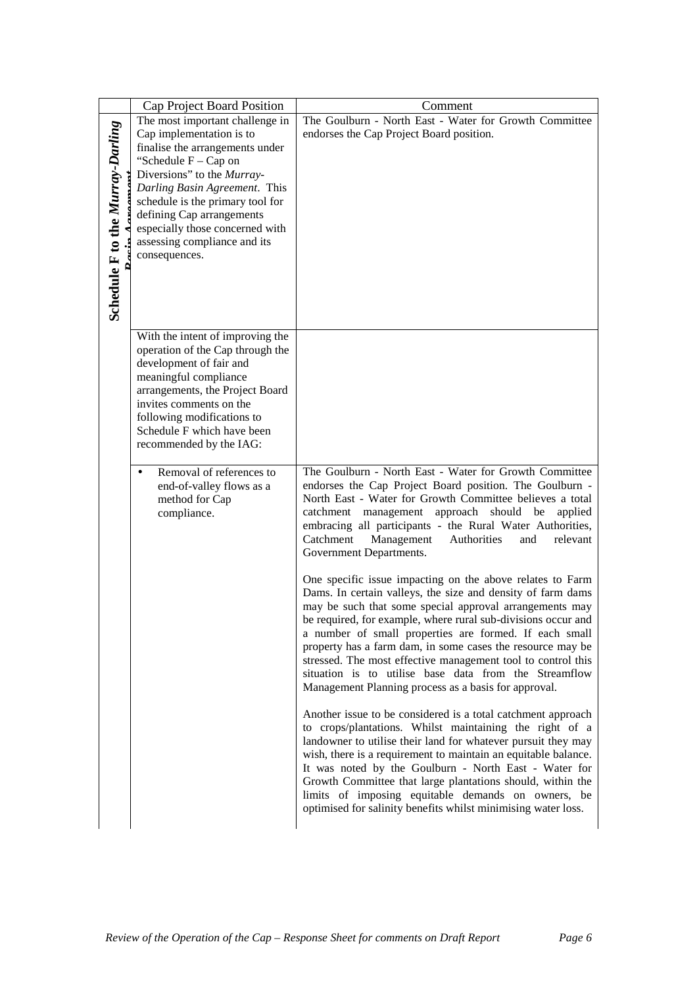|                                  | Cap Project Board Position                                                                         | Comment                                                                                                                                                                                                                                                                                                                                                                                                                                                                                                  |
|----------------------------------|----------------------------------------------------------------------------------------------------|----------------------------------------------------------------------------------------------------------------------------------------------------------------------------------------------------------------------------------------------------------------------------------------------------------------------------------------------------------------------------------------------------------------------------------------------------------------------------------------------------------|
|                                  | The most important challenge in                                                                    | The Goulburn - North East - Water for Growth Committee                                                                                                                                                                                                                                                                                                                                                                                                                                                   |
|                                  | Cap implementation is to                                                                           | endorses the Cap Project Board position.                                                                                                                                                                                                                                                                                                                                                                                                                                                                 |
|                                  | finalise the arrangements under                                                                    |                                                                                                                                                                                                                                                                                                                                                                                                                                                                                                          |
|                                  | "Schedule $F - Cap$ on                                                                             |                                                                                                                                                                                                                                                                                                                                                                                                                                                                                                          |
|                                  | Diversions" to the Murray-                                                                         |                                                                                                                                                                                                                                                                                                                                                                                                                                                                                                          |
|                                  | Darling Basin Agreement. This                                                                      |                                                                                                                                                                                                                                                                                                                                                                                                                                                                                                          |
|                                  | schedule is the primary tool for                                                                   |                                                                                                                                                                                                                                                                                                                                                                                                                                                                                                          |
|                                  | defining Cap arrangements                                                                          |                                                                                                                                                                                                                                                                                                                                                                                                                                                                                                          |
|                                  | especially those concerned with                                                                    |                                                                                                                                                                                                                                                                                                                                                                                                                                                                                                          |
|                                  | assessing compliance and its                                                                       |                                                                                                                                                                                                                                                                                                                                                                                                                                                                                                          |
|                                  | consequences.                                                                                      |                                                                                                                                                                                                                                                                                                                                                                                                                                                                                                          |
|                                  |                                                                                                    |                                                                                                                                                                                                                                                                                                                                                                                                                                                                                                          |
| Schedule F to the Murray-Darling |                                                                                                    |                                                                                                                                                                                                                                                                                                                                                                                                                                                                                                          |
|                                  |                                                                                                    |                                                                                                                                                                                                                                                                                                                                                                                                                                                                                                          |
|                                  |                                                                                                    |                                                                                                                                                                                                                                                                                                                                                                                                                                                                                                          |
|                                  | With the intent of improving the                                                                   |                                                                                                                                                                                                                                                                                                                                                                                                                                                                                                          |
|                                  | operation of the Cap through the                                                                   |                                                                                                                                                                                                                                                                                                                                                                                                                                                                                                          |
|                                  | development of fair and                                                                            |                                                                                                                                                                                                                                                                                                                                                                                                                                                                                                          |
|                                  | meaningful compliance                                                                              |                                                                                                                                                                                                                                                                                                                                                                                                                                                                                                          |
|                                  | arrangements, the Project Board                                                                    |                                                                                                                                                                                                                                                                                                                                                                                                                                                                                                          |
|                                  | invites comments on the                                                                            |                                                                                                                                                                                                                                                                                                                                                                                                                                                                                                          |
|                                  | following modifications to                                                                         |                                                                                                                                                                                                                                                                                                                                                                                                                                                                                                          |
|                                  | Schedule F which have been                                                                         |                                                                                                                                                                                                                                                                                                                                                                                                                                                                                                          |
|                                  | recommended by the IAG:                                                                            |                                                                                                                                                                                                                                                                                                                                                                                                                                                                                                          |
|                                  | Removal of references to<br>$\bullet$<br>end-of-valley flows as a<br>method for Cap<br>compliance. | The Goulburn - North East - Water for Growth Committee<br>endorses the Cap Project Board position. The Goulburn -<br>North East - Water for Growth Committee believes a total<br>catchment management approach should be<br>applied                                                                                                                                                                                                                                                                      |
|                                  |                                                                                                    | embracing all participants - the Rural Water Authorities,<br>Catchment<br>Management<br>Authorities<br>relevant<br>and<br>Government Departments.                                                                                                                                                                                                                                                                                                                                                        |
|                                  |                                                                                                    | One specific issue impacting on the above relates to Farm<br>Dams. In certain valleys, the size and density of farm dams                                                                                                                                                                                                                                                                                                                                                                                 |
|                                  |                                                                                                    | may be such that some special approval arrangements may<br>be required, for example, where rural sub-divisions occur and<br>a number of small properties are formed. If each small<br>property has a farm dam, in some cases the resource may be<br>stressed. The most effective management tool to control this<br>situation is to utilise base data from the Streamflow<br>Management Planning process as a basis for approval.                                                                        |
|                                  |                                                                                                    | Another issue to be considered is a total catchment approach<br>to crops/plantations. Whilst maintaining the right of a<br>landowner to utilise their land for whatever pursuit they may<br>wish, there is a requirement to maintain an equitable balance.<br>It was noted by the Goulburn - North East - Water for<br>Growth Committee that large plantations should, within the<br>limits of imposing equitable demands on owners, be<br>optimised for salinity benefits whilst minimising water loss. |
|                                  |                                                                                                    |                                                                                                                                                                                                                                                                                                                                                                                                                                                                                                          |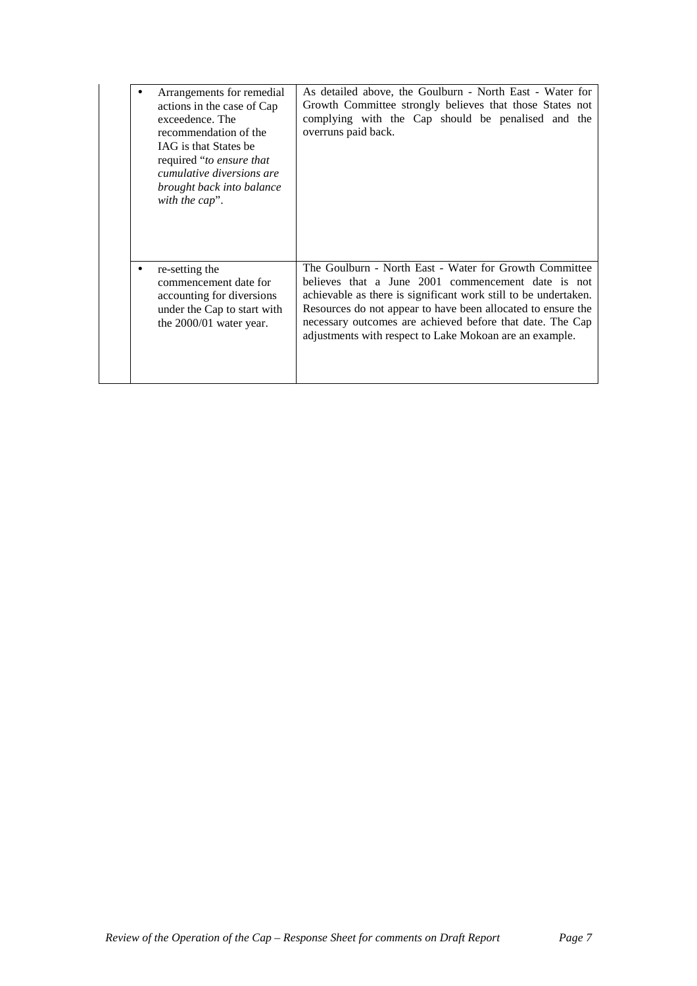| Arrangements for remedial<br>actions in the case of Cap<br>exceedence. The<br>recommendation of the<br><b>IAG</b> is that States be<br>required "to ensure that<br><i>cumulative diversions are</i><br>brought back into balance<br>with the cap". | As detailed above, the Goulburn - North East - Water for<br>Growth Committee strongly believes that those States not<br>complying with the Cap should be penalised and the<br>overruns paid back.                                                                                                                                                                       |
|----------------------------------------------------------------------------------------------------------------------------------------------------------------------------------------------------------------------------------------------------|-------------------------------------------------------------------------------------------------------------------------------------------------------------------------------------------------------------------------------------------------------------------------------------------------------------------------------------------------------------------------|
| re-setting the<br>commencement date for<br>accounting for diversions<br>under the Cap to start with<br>the $2000/01$ water year.                                                                                                                   | The Goulburn - North East - Water for Growth Committee<br>believes that a June 2001 commencement date is not<br>achievable as there is significant work still to be undertaken.<br>Resources do not appear to have been allocated to ensure the<br>necessary outcomes are achieved before that date. The Cap<br>adjustments with respect to Lake Mokoan are an example. |